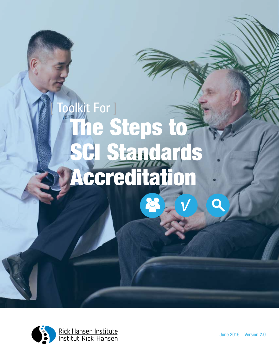



June 2016 | Version 2.0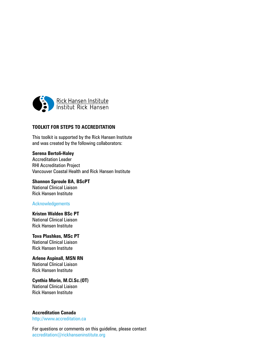

#### **TOOLKIT FOR STEPS TO ACCREDITATION**

This toolkit is supported by the Rick Hansen Institute and was created by the following collaborators:

#### **Serena Bertoli-Haley**

Accreditation Leader RHI Accreditation Project Vancouver Coastal Health and Rick Hansen Institute

**Shannon Sproule BA, BScPT** National Clinical Liaison Rick Hansen Institute

#### Acknowledgements

**Kristen Walden BSc PT** National Clinical Liaison Rick Hansen Institute

**Tova Plashkes, MSc PT** National Clinical Liaison Rick Hansen Institute

**Arlene Aspinall, MSN RN** National Clinical Liaison Rick Hansen Institute

**Cynthia Morin, M.Cl.Sc.(OT)** National Clinical Liaison Rick Hansen Institute

**Accreditation Canada** <http://www.accreditation.ca>

For questions or comments on this guideline, please contact [accreditation@rickhanseninstitute.org](mailto:accreditation%40rickhanseninstitute.org?subject=)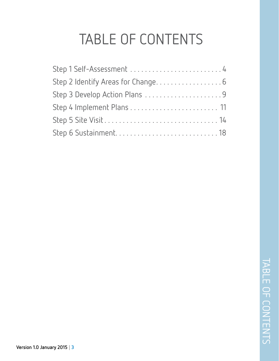# TABLE OF CONTENTS

| Step 1 Self-Assessment  4     |  |
|-------------------------------|--|
|                               |  |
| Step 3 Develop Action Plans 9 |  |
|                               |  |
|                               |  |
|                               |  |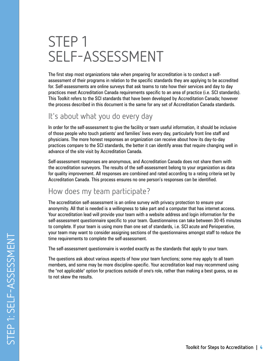# STEP 1 SELF-ASSESSMENT

The first step most organizations take when preparing for accreditation is to conduct a selfassessment of their programs in relation to the specific standards they are applying to be accredited for. Self-assessments are online surveys that ask teams to rate how their services and day to day practices meet Accreditation Canada requirements specific to an area of practice (i.e. SCI standards). This Toolkit refers to the SCI standards that have been developed by Accreditation Canada; however the process described in this document is the same for any set of Accreditation Canada standards.

## It's about what you do every day

In order for the self-assessment to give the facility or team useful information, it should be inclusive of those people who touch patients' and families' lives every day, particularly front line staff and physicians. The more honest responses an organization can receive about how its day-to-day practices compare to the SCI standards, the better it can identify areas that require changing well in advance of the site visit by Accreditation Canada.

Self-assessment responses are anonymous, and Accreditation Canada does not share them with the accreditation surveyors. The results of the self-assessment belong to your organization as data for quality improvement. All responses are combined and rated according to a rating criteria set by Accreditation Canada. This process ensures no one person's responses can be identified.

## How does my team participate?

The accreditation self-assessment is an online survey with privacy protection to ensure your anonymity. All that is needed is a willingness to take part and a computer that has internet access. Your accreditation lead will provide your team with a website address and login information for the self-assessment questionnaire specific to your team. Questionnaires can take between 30-45 minutes to complete. If your team is using more than one set of standards, i.e. SCI acute and Perioperative, your team may want to consider assigning sections of the questionnaires amongst staff to reduce the time requirements to complete the self-assessment.

The self-assessment questionnaire is worded exactly as the standards that apply to your team.

The questions ask about various aspects of how your team functions; some may apply to all team members, and some may be more discipline-specific. Your accreditation lead may recommend using the "not applicable" option for practices outside of one's role, rather than making a best guess, so as to not skew the results.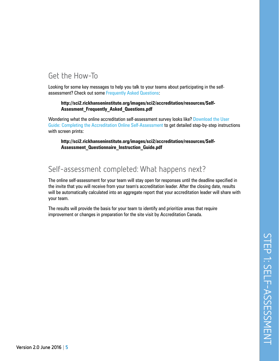# STEP 1: SELF-ASSESSMENT STEP 1: SELF-ASSESSMENT

# Get the How-To

Looking for some key messages to help you talk to your teams about participating in the selfassessment? Check out some Frequently Asked Questions:

#### **[http://sci2.rickhanseninstitute.org/images/sci2/accreditation/resources/Self-](http://sci2.rickhanseninstitute.org/images/sci2/accreditation/resources/Self-Assesment_Frequently_Asked_Questions.pdf)[Assesment\\_Frequently\\_Asked\\_Questions.pdf](http://sci2.rickhanseninstitute.org/images/sci2/accreditation/resources/Self-Assesment_Frequently_Asked_Questions.pdf)**

Wondering what the online accreditation self-assessment survey looks like? Download the User Guide: Completing the Accreditation Online Self-Assessment to get detailed step-by-step instructions with screen prints:

**[http://sci2.rickhanseninstitute.org/images/sci2/accreditation/resources/Self-](http://sci2.rickhanseninstitute.org/images/sci2/accreditation/resources/Self-Assessment_Questionnaire_Instruction_Guide.pdf)[Assessment\\_Questionnaire\\_Instruction\\_Guide.pdf](http://sci2.rickhanseninstitute.org/images/sci2/accreditation/resources/Self-Assessment_Questionnaire_Instruction_Guide.pdf)**

## Self-assessment completed: What happens next?

The online self-assessment for your team will stay open for responses until the deadline specified in the invite that you will receive from your team's accreditation leader. After the closing date, results will be automatically calculated into an aggregate report that your accreditation leader will share with your team.

The results will provide the basis for your team to identify and prioritize areas that require improvement or changes in preparation for the site visit by Accreditation Canada.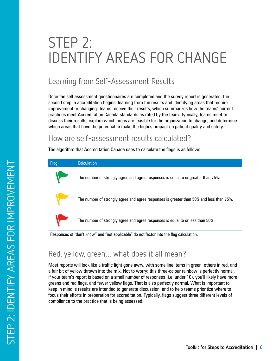# STEP 2: IDENTIFY AREAS FOR CHANGE

# Learning from Self-Assessment Results

Once the self-assessment questionnaires are completed and the survey report is generated, the second step in accreditation begins: learning from the results and identifying areas that require improvement or changing. Teams receive their results, which summarizes how the teams' current practices meet Accreditation Canada standards as rated by the team. Typically, teams meet to discuss their results, explore which areas are feasible for the organization to change, and determine which areas that have the potential to make the highest impact on patient quality and safety.

#### How are self-assessment results calculated?

The algorithm that Accreditation Canada uses to calculate the flags is as follows:



## Red, yellow, green… what does it all mean?

Most reports will look like a traffic light gone awry, with some line items in green, others in red, and a fair bit of yellow thrown into the mix. Not to worry: this three-colour rainbow is perfectly normal. If your team's report is based on a small number of responses (i.e. under 10), you'll likely have more greens and red flags, and fewer yellow flags. That is also perfectly normal. What is important to keep in mind is results are intended to generate discussion, and to help teams prioritize where to focus their efforts in preparation for accreditation. Typically, flags suggest three different levels of compliance to the practice that is being assessed: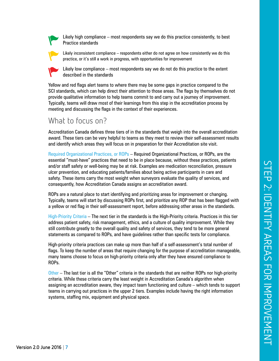

Likely high compliance – most respondents say we do this practice consistently, to best Practice standards



Likely inconsistent compliance – respondents either do not agree on how consistently we do this practice, or it's still a work in progress, with opportunities for improvement



Likely low compliance – most respondents say we do not do this practice to the extent described in the standards

Yellow and red flags alert teams to where there may be some gaps in practice compared to the SCI standards, which can help direct their attention to those areas. The flags by themselves do not provide qualitative information to help teams commit to and carry out a journey of improvement. Typically, teams will draw most of their learnings from this step in the accreditation process by meeting and discussing the flags in the context of their experiences.

#### What to focus on?

Accreditation Canada defines three tiers of in the standards that weigh into the overall accreditation award. These tiers can be very helpful to teams as they meet to review their self-assessment results and identify which areas they will focus on in preparation for their Accreditation site visit.

Required Organizational Practices, or ROPs – Required Organizational Practices, or ROPs, are the essential "must-have" practices that need to be in place because, without these practices, patients and/or staff safety or well-being may be at risk. Examples are medication reconciliation, pressure ulcer prevention, and educating patients/families about being active participants in care and safety. These items carry the most weight when surveyors evaluate the quality of services, and consequently, how Accreditation Canada assigns an accreditation award.

ROPs are a natural place to start identifying and prioritizing areas for improvement or changing. Typically, teams will start by discussing ROPs first, and prioritize any ROP that has been flagged with a yellow or red flag in their self-assessment report, before addressing other areas in the standards.

High-Priority Criteria – The next tier in the standards is the High-Priority criteria. Practices in this tier address patient safety, risk management, ethics, and a culture of quality improvement. While they still contribute greatly to the overall quality and safety of services, they tend to be more general statements as compared to ROPs, and have guidelines rather than specific tests for compliance.

High-priority criteria practices can make up more than half of a self-assessment's total number of flags. To keep the number of areas that require changing for the purpose of accreditation manageable, many teams choose to focus on high-priority criteria only after they have ensured compliance to ROPs.

Other – The last tier is all the "Other" criteria in the standards that are neither ROPs nor high-priority criteria. While these criteria carry the least weight in Accreditation Canada's algorithm when assigning an accreditation aware, they impact team functioning and culture – which tends to support teams in carrying out practices in the upper 2 tiers. Examples include having the right information systems, staffing mix, equipment and physical space.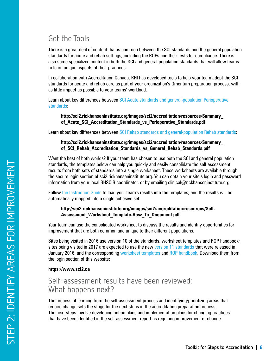# Get the Tools

There is a great deal of content that is common between the SCI standards and the general population standards for acute and rehab settings, including the ROPs and their tests for compliance. There is also some specialized content in both the SCI and general-population standards that will allow teams to learn unique aspects of their practices.

In collaboration with Accreditation Canada, RHI has developed tools to help your team adopt the SCI standards for acute and rehab care as part of your organization's Qmentum preparation process, with as little impact as possible to your teams' workload.

Learn about key differences between SCI Acute standards and general-population Perioperative standards:

**[http://sci2.rickhanseninstitute.org/images/sci2/accreditation/resources/Summary\\_](http://sci2.rickhanseninstitute.org/images/sci2/accreditation/resources/Summary_of_Acute_SCI_Accreditation_Standards_vs_Perioperative_Standards.pdf) [of\\_Acute\\_SCI\\_Accreditation\\_Standards\\_vs\\_Perioperative\\_Standards.pdf](http://sci2.rickhanseninstitute.org/images/sci2/accreditation/resources/Summary_of_Acute_SCI_Accreditation_Standards_vs_Perioperative_Standards.pdf)**

Learn about key differences between SCI Rehab standards and general-population Rehab standards:

#### **[http://sci2.rickhanseninstitute.org/images/sci2/accreditation/resources/Summary\\_](http://sci2.rickhanseninstitute.org/images/sci2/accreditation/resources/Summary_of_SCI_Rehab_Accreditation_Standards_vs_General_Rehab_Standards.pdf) [of\\_SCI\\_Rehab\\_Accreditation\\_Standards\\_vs\\_General\\_Rehab\\_Standards.pdf](http://sci2.rickhanseninstitute.org/images/sci2/accreditation/resources/Summary_of_SCI_Rehab_Accreditation_Standards_vs_General_Rehab_Standards.pdf)**

Want the best of both worlds? If your team has chosen to use both the SCI and general population standards, the templates below can help you quickly and easily consolidate the self-assessment results from both sets of standards into a single worksheet. These worksheets are available through the secure login section of sci2.rickhanseninstitute.org. You can obtain your site's login and password information from your local RHSCIR coordinator, or by emailing clinical@rickhanseninstitute.org.

Follow [the Instruction Guide](http://sci2.rickhanseninstitute.org/images/sci2/accreditation/resources/Self-Assessment_Worksheet_Template-How_To_Document.pdf) to load your team's results into the templates, and the results will be automatically mapped into a single cohesive set:

#### **[http://sci2.rickhanseninstitute.org/images/sci2/accreditation/resources/Self-](http://sci2.rickhanseninstitute.org/images/sci2/accreditation/resources/Self-Assessment_Worksheet_Template-How_To_Document.pdf)[Assessment\\_Worksheet\\_Template-How\\_To\\_Document.pdf](http://sci2.rickhanseninstitute.org/images/sci2/accreditation/resources/Self-Assessment_Worksheet_Template-How_To_Document.pdf)**

Your team can use the consolidated worksheet to discuss the results and identify opportunities for improvement that are both common and unique to their different populations.

Sites being visited in 2016 use version 10 of the standards, worksheet templates and ROP handbook; sites being visited in 2017 are expected to use the new version 11 standards that were released in January 2016, and the corresponding worksheet templates and ROP handbook. Download them from the [login section of this website:](https://www.sci2.ca:4431/)

#### **<https://www.sci2.ca>**

#### Self-assessment results have been reviewed: What happens next?

The process of learning from the self-assessment process and identifying/prioritizing areas that require change sets the stage for the next steps in the accreditation preparation process. The next steps involve developing action plans and implementation plans for changing practices that have been identified in the self-assessment report as requiring improvement or change.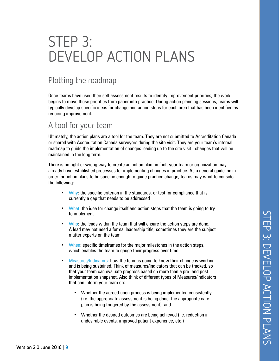# STEP 3: DEVELOP ACTION PLANS

## Plotting the roadmap

Once teams have used their self-assessment results to identify improvement priorities, the work begins to move those priorities from paper into practice. During action planning sessions, teams will typically develop specific ideas for change and action steps for each area that has been identified as requiring improvement.

#### A tool for your team

Ultimately, the action plans are a tool for the team. They are not submitted to Accreditation Canada or shared with Accreditation Canada surveyors during the site visit. They are your team's internal roadmap to guide the implementation of changes leading up to the site visit - changes that will be maintained in the long term.

There is no right or wrong way to create an action plan: in fact, your team or organization may already have established processes for implementing changes in practice. As a general guideline in order for action plans to be specific enough to guide practice change, teams may want to consider the following:

- Why: the specific criterion in the standards, or test for compliance that is currently a gap that needs to be addressed
- What: the idea for change itself and action steps that the team is going to try to implement
- Who: the leads within the team that will ensure the action steps are done. A lead may not need a formal leadership title; sometimes they are the subject matter experts on the team
- When: specific timeframes for the major milestones in the action steps, which enables the team to gauge their progress over time
- Measures/Indicators: how the team is going to know their change is working and is being sustained. Think of measures/indicators that can be tracked, so that your team can evaluate progress based on more than a pre- and postimplementation snapshot. Also think of different types of Measures/indicators that can inform your team on:
	- Whether the agreed-upon process is being implemented consistently (i.e. the appropriate assessment is being done, the appropriate care plan is being triggered by the assessment), and
	- Whether the desired outcomes are being achieved (i.e. reduction in undesirable events, improved patient experience, etc.)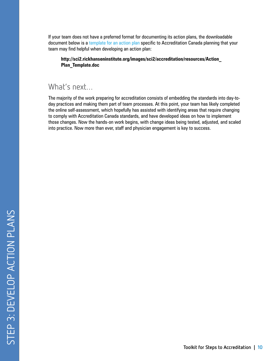If your team does not have a preferred format for documenting its action plans, the downloadable document below is a template for an action plan specific to Accreditation Canada planning that your team may find helpful when developing an action plan:

**[http://sci2.rickhanseninstitute.org/images/sci2/accreditation/resources/Action\\_](http://sci2.rickhanseninstitute.org/images/sci2/accreditation/resources/Action_Plan_Template.doc) [Plan\\_Template.doc](http://sci2.rickhanseninstitute.org/images/sci2/accreditation/resources/Action_Plan_Template.doc)**

#### What's next…

The majority of the work preparing for accreditation consists of embedding the standards into day-today practices and making them part of team processes. At this point, your team has likely completed the online self-assessment, which hopefully has assisted with identifying areas that require changing to comply with Accreditation Canada standards, and have developed ideas on how to implement those changes. Now the hands-on work begins, with change ideas being tested, adjusted, and scaled into practice. Now more than ever, staff and physician engagement is key to success.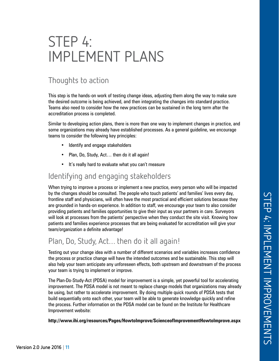# STEP 4: IMPLEMENT PLANS

# Thoughts to action

This step is the hands-on work of testing change ideas, adjusting them along the way to make sure the desired outcome is being achieved, and then integrating the changes into standard practice. Teams also need to consider how the new practices can be sustained in the long term after the accreditation process is completed.

Similar to developing action plans, there is more than one way to implement changes in practice, and some organizations may already have established processes. As a general guideline, we encourage teams to consider the following key principles:

- Identify and engage stakeholders
- Plan, Do, Study, Act… then do it all again!
- It's really hard to evaluate what you can't measure

#### Identifying and engaging stakeholders

When trying to improve a process or implement a new practice, every person who will be impacted by the changes should be consulted. The people who touch patients' and families' lives every day, frontline staff and physicians, will often have the most practical and efficient solutions because they are grounded in hands-on experience. In addition to staff, we encourage your team to also consider providing patients and families opportunities to give their input as your partners in care. Surveyors will look at processes from the patients' perspective when they conduct the site visit. Knowing how patients and families experience processes that are being evaluated for accreditation will give your team/organization a definite advantage!

## Plan, Do, Study, Act… then do it all again!

Testing out your change idea with a number of different scenarios and variables increases confidence the process or practice change will have the intended outcomes and be sustainable. This step will also help your team anticipate any unforeseen effects, both upstream and downstream of the process your team is trying to implement or improve.

The Plan-Do-Study-Act (PDSA) model for improvement is a simple, yet powerful tool for accelerating improvement. The PDSA model is not meant to replace change models that organizations may already be using, but rather to accelerate improvement. By doing multiple quick rounds of PDSA tests that build sequentially onto each other, your team will be able to generate knowledge quickly and refine the process. Further information on the PDSA model can be found on the Institute for Healthcare Improvement website:

**<http://www.ihi.org/resources/Pages/HowtoImprove/ScienceofImprovementHowtoImprove.aspx>**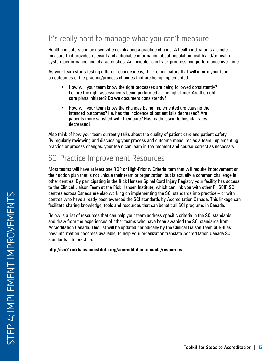# It's really hard to manage what you can't measure

Health indicators can be used when evaluating a practice change. A health indicator is a single measure that provides relevant and actionable information about population health and/or health system performance and characteristics. An indicator can track progress and performance over time.

As your team starts testing different change ideas, think of indicators that will inform your team on outcomes of the practice/process changes that are being implemented:

- How will your team know the right processes are being followed consistently? I.e. are the right assessments being performed at the right time? Are the right care plans initiated? Do we document consistently?
- How will your team know the changes being implemented are causing the intended outcomes? I.e. has the incidence of patient falls decreased? Are patients more satisfied with their care? Has readmission to hospital rates decreased?

Also think of how your team currently talks about the quality of patient care and patient safety. By regularly reviewing and discussing your process and outcome measures as a team implementing practice or process changes, your team can learn in-the-moment and course-correct as necessary.

# SCI Practice Improvement Resources

Most teams will have at least one ROP or High-Priority Criteria item that will require improvement on their action plan that is not unique their team or organization, but is actually a common challenge in other centres. By participating in the Rick Hansen Spinal Cord Injury Registry your facility has access to the Clinical Liaison Team at the Rick Hansen Institute, which can link you with other RHSCIR SCI centres across Canada are also working on implementing the SCI standards into practice – or with centres who have already been awarded the SCI standards by Accreditation Canada. This linkage can facilitate sharing knowledge, tools and resources that can benefit all SCI programs in Canada.

Below is a list of resources that can help your team address specific criteria in the SCI standards and draw from the experiences of other teams who have been awarded the SCI standards from Accreditation Canada. This list will be updated periodically by the Clinical Liaison Team at RHI as new information becomes available, to help your organization translate Accreditation Canada SCI standards into practice:

**<http://sci2.rickhanseninstitute.org/accreditation-canada/resources>**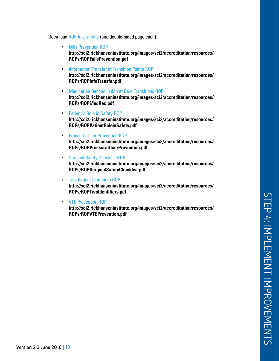Download ROP fact sheets (one double-sided page each):

- [Falls Prevention ROP](http://sci2.rickhanseninstitute.org/images/sci2/accreditation/resources/ROPs/ROPFallsPrevention.pdf) **[http://sci2.rickhanseninstitute.org/images/sci2/accreditation/resources/](http://sci2.rickhanseninstitute.org/images/sci2/accreditation/resources/ROPs/ROPFallsPrevention.pdf) [ROPs/ROPFallsPrevention.pdf](http://sci2.rickhanseninstitute.org/images/sci2/accreditation/resources/ROPs/ROPFallsPrevention.pdf)**
- Information Transfer at Transition Points ROP **[http://sci2.rickhanseninstitute.org/images/sci2/accreditation/resources/](http://sci2.rickhanseninstitute.org/images/sci2/accreditation/resources/ROPs/ROPInfoTransfer.pdf) [ROPs/ROPInfoTransfer.pdf](http://sci2.rickhanseninstitute.org/images/sci2/accreditation/resources/ROPs/ROPInfoTransfer.pdf)**
- Medication Reconciliation at Care Transitions ROP **[http://sci2.rickhanseninstitute.org/images/sci2/accreditation/resources/](http://sci2.rickhanseninstitute.org/images/sci2/accreditation/resources/ROPs/ROPMedRec.pdf) [ROPs/ROPMedRec.pdf](http://sci2.rickhanseninstitute.org/images/sci2/accreditation/resources/ROPs/ROPMedRec.pdf)**
- Patient's Role in Safety ROP **[http://sci2.rickhanseninstitute.org/images/sci2/accreditation/resources/](http://sci2.rickhanseninstitute.org/images/sci2/accreditation/resources/ROPs/ROPPatientRoleinSafety.pdf) [ROPs/ROPPatientRoleinSafety.pdf](http://sci2.rickhanseninstitute.org/images/sci2/accreditation/resources/ROPs/ROPPatientRoleinSafety.pdf)**
- Pressure Ulcer Prevention ROP **[http://sci2.rickhanseninstitute.org/images/sci2/accreditation/resources/](http://sci2.rickhanseninstitute.org/images/sci2/accreditation/resources/ROPs/ROPPressureUlcerPrevention.pdf) [ROPs/ROPPressureUlcerPrevention.pdf](http://sci2.rickhanseninstitute.org/images/sci2/accreditation/resources/ROPs/ROPPressureUlcerPrevention.pdf)**
- Surgical Safety Checklist ROP **[http://sci2.rickhanseninstitute.org/images/sci2/accreditation/resources/](http://sci2.rickhanseninstitute.org/images/sci2/accreditation/resources/ROPs/ROPSurgicalSafetyChecklist.pdf) [ROPs/ROPSurgicalSafetyChecklist.pdf](http://sci2.rickhanseninstitute.org/images/sci2/accreditation/resources/ROPs/ROPSurgicalSafetyChecklist.pdf)**
- Two Patient Identifiers ROP **[http://sci2.rickhanseninstitute.org/images/sci2/accreditation/resources/](http://sci2.rickhanseninstitute.org/images/sci2/accreditation/resources/ROPs/ROPTwoIdentifiers.pdf) [ROPs/ROPTwoIdentifiers.pdf](http://sci2.rickhanseninstitute.org/images/sci2/accreditation/resources/ROPs/ROPTwoIdentifiers.pdf)**
- VTE Prevention ROP **[http://sci2.rickhanseninstitute.org/images/sci2/accreditation/resources/](http://sci2.rickhanseninstitute.org/images/sci2/accreditation/resources/ROPs/ROPVTEPrevention.pdf) [ROPs/ROPVTEPrevention.pdf](http://sci2.rickhanseninstitute.org/images/sci2/accreditation/resources/ROPs/ROPVTEPrevention.pdf)**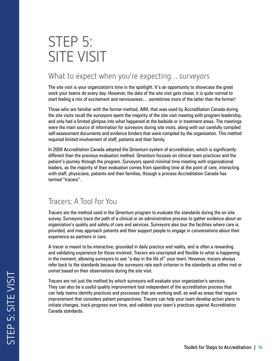# STEP 5: SITE VISIT

# What to expect when you're expecting... surveyors

The site visit is your organization's time in the spotlight. It's an opportunity to showcase the great work your teams do every day. However, the date of the site visit gets closer, it is quite normal to start feeling a mix of excitement and nervousness… sometimes more of the latter than the former!

Those who are familiar with the former method, AIM, that was used by Accreditation Canada during the site visits recall the surveyors spent the majority of the site visit meeting with program leadership, and only had a limited glimpse into what happened at the bedside or in treatment areas. The meetings were the main source of information for surveyors during site visits, along with our carefully compiled self-assessment documents and evidence binders that were compiled by the organization. This method required limited involvement of staff, patients and their family.

In 2008 Accreditation Canada adopted the Qmentum system of accreditation, which is significantly different than the previous evaluation method. Qmentum focuses on clinical team practices and the patient's journey through the program. Surveyors spend minimal time meeting with organizational leaders, as the majority of their evaluation comes from spending time at the point of care, interacting with staff, physicians, patients and their families, through a process Accreditation Canada has termed "tracers".

## Tracers: A Tool for You

Tracers are the method used in the Qmentum program to evaluate the standards during the on-site survey. Surveyors trace the path of a clinical or an administrative process to gather evidence about an organization's quality and safety of care and services. Surveyors also tour the facilities where care is provided, and may approach patients and their support people to engage in conversations about their experience as partners in care.

A tracer is meant to be interactive, grounded in daily practice and reality, and is often a rewarding and validating experience for those involved. Tracers are unscripted and flexible to what is happening in the moment, allowing surveyors to see "a day in the life of" your team. However, tracers always refer back to the standards because the surveyors rate each criterion in the standards as either met or unmet based on their observations during the site visit.

Tracers are not just the method by which surveyors will evaluate your organization's services. They can also be a useful quality improvement tool independent of the accreditation process that can help teams identify practices and processes that are working well, as well as areas that require improvement that considers patient perspectives. Tracers can help your team develop action plans to initiate changes, track progress over time, and validate your team's practices against Accreditation Canada standards.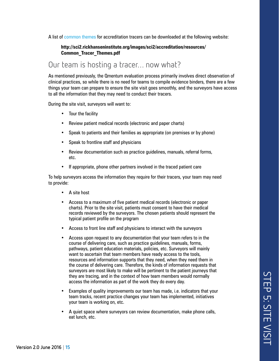A list of common themes for accreditation tracers can be downloaded at the following website:

#### **[http://sci2.rickhanseninstitute.org/images/sci2/accreditation/resources/](http://sci2.rickhanseninstitute.org/images/sci2/accreditation/resources/Common_Tracer_Themes.pdf) [Common\\_Tracer\\_Themes.pdf](http://sci2.rickhanseninstitute.org/images/sci2/accreditation/resources/Common_Tracer_Themes.pdf)**

## Our team is hosting a tracer… now what?

As mentioned previously, the Qmentum evaluation process primarily involves direct observation of clinical practices, so while there is no need for teams to compile evidence binders, there are a few things your team can prepare to ensure the site visit goes smoothly, and the surveyors have access to all the information that they may need to conduct their tracers.

During the site visit, surveyors will want to:

- Tour the facility
- Review patient medical records (electronic and paper charts)
- Speak to patients and their families as appropriate (on premises or by phone)
- Speak to frontline staff and physicians
- Review documentation such as practice guidelines, manuals, referral forms, etc.
- If appropriate, phone other partners involved in the traced patient care

To help surveyors access the information they require for their tracers, your team may need to provide:

- A site host
- Access to a maximum of five patient medical records (electronic or paper charts). Prior to the site visit, patients must consent to have their medical records reviewed by the surveyors. The chosen patients should represent the typical patient profile on the program
- Access to front line staff and physicians to interact with the surveyors
- Access upon request to any documentation that your team refers to in the course of delivering care, such as practice guidelines, manuals, forms, pathways, patient education materials, policies, etc. Surveyors will mainly want to ascertain that team members have ready access to the tools, resources and information supports that they need, when they need them in the course of delivering care. Therefore, the kinds of information requests that surveyors are most likely to make will be pertinent to the patient journeys that they are tracing, and in the context of how team members would normally access the information as part of the work they do every day.
- Examples of quality improvements our team has made, i.e. indicators that your team tracks, recent practice changes your team has implemented, initiatives your team is working on, etc.
- A quiet space where surveyors can review documentation, make phone calls, eat lunch, etc.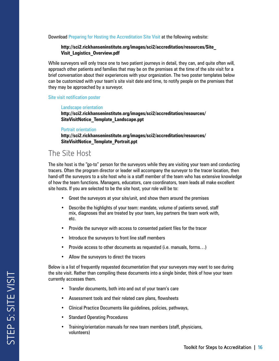Download Preparing for Hosting the Accreditation Site Visit at the following website:

#### **[http://sci2.rickhanseninstitute.org/images/sci2/accreditation/resources/Site\\_](http://sci2.rickhanseninstitute.org/images/sci2/accreditation/resources/Site_Visit_Logistics_Overview.pdf) [Visit\\_Logistics\\_Overview.pdf](http://sci2.rickhanseninstitute.org/images/sci2/accreditation/resources/Site_Visit_Logistics_Overview.pdf)**

While surveyors will only trace one to two patient journeys in detail, they can, and quite often will, approach other patients and families that may be on the premises at the time of the site visit for a brief conversation about their experiences with your organization. The two poster templates below can be customized with your team's site visit date and time, to notify people on the premises that they may be approached by a surveyor.

#### Site visit notification poster

#### Landscape orientation

**[http://sci2.rickhanseninstitute.org/images/sci2/accreditation/resources/](http://sci2.rickhanseninstitute.org/images/sci2/accreditation/resources/SiteVisitNotice_Template_Landscape.ppt) [SiteVisitNotice\\_Template\\_Landscape.ppt](http://sci2.rickhanseninstitute.org/images/sci2/accreditation/resources/SiteVisitNotice_Template_Landscape.ppt)**

#### Portrait orientation

**[http://sci2.rickhanseninstitute.org/images/sci2/accreditation/resources/](http://sci2.rickhanseninstitute.org/images/sci2/accreditation/resources/SiteVisitNotice_Template_Portrait.ppt) [SiteVisitNotice\\_Template\\_Portrait.ppt](http://sci2.rickhanseninstitute.org/images/sci2/accreditation/resources/SiteVisitNotice_Template_Portrait.ppt)**

#### The Site Host

The site host is the "go-to" person for the surveyors while they are visiting your team and conducting tracers. Often the program director or leader will accompany the surveyor to the tracer location, then hand-off the surveyors to a site host who is a staff member of the team who has extensive knowledge of how the team functions. Managers, educators, care coordinators, team leads all make excellent site hosts. If you are selected to be the site host, your role will be to:

- Greet the surveyors at your site/unit, and show them around the premises
- Describe the highlights of your team: mandate, volume of patients served, staff mix, diagnoses that are treated by your team, key partners the team work with, etc.
- Provide the surveyor with access to consented patient files for the tracer
- Introduce the surveyors to front line staff members
- Provide access to other documents as requested (i.e. manuals, forms…)
- Allow the surveyors to direct the tracers

Below is a list of frequently requested documentation that your surveyors may want to see during the site visit. Rather than compiling these documents into a single binder, think of how your team currently accesses them.

- Transfer documents, both into and out of your team's care
- Assessment tools and their related care plans, flowsheets
- Clinical Practice Documents like guidelines, policies, pathways,
- Standard Operating Procedures
- Training/orientation manuals for new team members (staff, physicians, volunteers)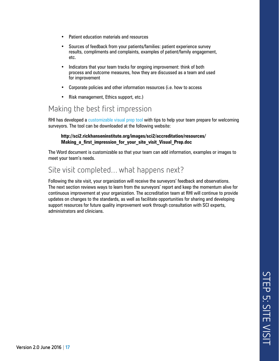- Patient education materials and resources
- Sources of feedback from your patients/families: patient experience survey results, compliments and complaints, examples of patient/family engagement, etc.
- Indicators that your team tracks for ongoing improvement: think of both process and outcome measures, how they are discussed as a team and used for improvement
- Corporate policies and other information resources (i.e. how to access
- Risk management, Ethics support, etc.)

#### Making the best first impression

RHI has developed a customizable visual prep tool with tips to help your team prepare for welcoming surveyors. The tool can be downloaded at the following website:

#### **[http://sci2.rickhanseninstitute.org/images/sci2/accreditation/resources/](http://sci2.rickhanseninstitute.org/images/sci2/accreditation/resources/Making_a_first_impression_for_your_site_visit_Visual_Prep.doc) [Making\\_a\\_first\\_impression\\_for\\_your\\_site\\_visit\\_Visual\\_Prep.doc](http://sci2.rickhanseninstitute.org/images/sci2/accreditation/resources/Making_a_first_impression_for_your_site_visit_Visual_Prep.doc)**

The Word document is customizable so that your team can add information, examples or images to meet your team's needs.

#### Site visit completed… what happens next?

Following the site visit, your organization will receive the surveyors' feedback and observations. The next section reviews ways to learn from the surveyors' report and keep the momentum alive for continuous improvement at your organization. The accreditation team at RHI will continue to provide updates on changes to the standards, as well as facilitate opportunities for sharing and developing support resources for future quality improvement work through consultation with SCI experts, administrators and clinicians.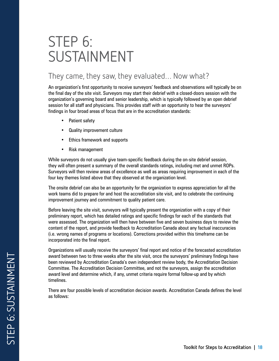# STEP 6: SUSTAINMENT

# They came, they saw, they evaluated… Now what?

An organization's first opportunity to receive surveyors' feedback and observations will typically be on the final day of the site visit. Surveyors may start their debrief with a closed-doors session with the organization's governing board and senior leadership, which is typically followed by an open debrief session for all staff and physicians. This provides staff with an opportunity to hear the surveyors' findings in four broad areas of focus that are in the accreditation standards:

- Patient safety
- Quality improvement culture
- Ethics framework and supports
- Risk management

While surveyors do not usually give team-specific feedback during the on-site debrief session, they will often present a summary of the overall standards ratings, including met and unmet ROPs. Surveyors will then review areas of excellence as well as areas requiring improvement in each of the four key themes listed above that they observed at the organization level.

The onsite debrief can also be an opportunity for the organization to express appreciation for all the work teams did to prepare for and host the accreditation site visit, and to celebrate the continuing improvement journey and commitment to quality patient care.

Before leaving the site visit, surveyors will typically present the organization with a copy of their preliminary report, which has detailed ratings and specific findings for each of the standards that were assessed. The organization will then have between five and seven business days to review the content of the report, and provide feedback to Accreditation Canada about any factual inaccuracies (i.e. wrong names of programs or locations). Corrections provided within this timeframe can be incorporated into the final report.

Organizations will usually receive the surveyors' final report and notice of the forecasted accreditation award between two to three weeks after the site visit, once the surveyors' preliminary findings have been reviewed by Accreditation Canada's own independent review body, the Accreditation Decision Committee. The Accreditation Decision Committee, and not the surveyors, assign the accreditation award level and determine which, if any, unmet criteria require formal follow-up and by which timelines.

There are four possible levels of accreditation decision awards. Accreditation Canada defines the level as follows: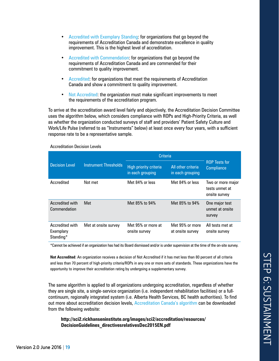- Accredited with Exemplary Standing: for organizations that go beyond the requirements of Accreditation Canada and demonstrate excellence in quality improvement. This is the highest level of accreditation.
- Accredited with Commendation: for organizations that go beyond the requirements of Accreditation Canada and are commended for their commitment to quality improvement.
- Accredited: for organizations that meet the requirements of Accreditation Canada and show a commitment to quality improvement.
- Not Accredited: the organization must make significant improvements to meet the requirements of the accreditation program.

To arrive at the accreditation award level fairly and objectively, the Accreditation Decision Committee uses the algorithm below, which considers compliance with ROPs and High-Priority Criteria, as well as whether the organization conducted surveys of staff and providers' Patient Safety Culture and Work/Life Pulse (referred to as "Instruments" below) at least once every four years, with a sufficient response rate to be a representative sample.

| <b>Decision Level</b>                     | <b>Instrument Thresholds</b> | <b>Criteria</b>                                   |                                        |                                                      |
|-------------------------------------------|------------------------------|---------------------------------------------------|----------------------------------------|------------------------------------------------------|
|                                           |                              | <b>High priority criteria</b><br>in each grouping | All other criteria<br>in each grouping | <b>ROP Tests for</b><br><b>Compliance</b>            |
| Accredited                                | Not met                      | Met 84% or less                                   | Met 84% or less                        | Two or more major<br>tests unmet at<br>onsite survey |
| Accredited with<br>Commendation           | Met                          | Met 85% to 94%                                    | Met 85% to 94%                         | One major test<br>unmet at onsite<br>survey          |
| Accredited with<br>Exemplary<br>Standing* | Met at onsite survey         | Met 95% or more at<br>onsite survey               | Met 95% or more<br>at onsite survey    | All tests met at<br>onsite survey                    |

Accreditation Decision Levels

\*Cannot be achieved if an organization has had its Board dismissed and/or is under supervision at the time of the on-site survey.

**Not Accredited**: An organization receives a decision of Not Accredited if it has met less than 80 percent of all criteria and less than 70 percent of high-priority criteria/ROPs in any one or more sets of standards. These organizations have the opportunity to improve their accreditation rating by undergoing a supplementary survey.

The same algorithm is applied to all organizations undergoing accreditation, regardless of whether they are single site, a single-service organization (i.e. independent rehabilitation facilities) or a fullcontinuum, regionally integrated system (i.e. Alberta Health Services, BC health authorities). To find out more about accreditation decision levels, Accreditation Canada's algorithm can be downloaded from the following website:

**[http://sci2.rickhanseninstitute.org/images/sci2/accreditation/resources/](http://sci2.rickhanseninstitute.org/images/sci2/accreditation/resources/DecisionGuidelines_directivesrelativesDec2015EN.pdf) [DecisionGuidelines\\_directivesrelativesDec2015EN.pdf](http://sci2.rickhanseninstitute.org/images/sci2/accreditation/resources/DecisionGuidelines_directivesrelativesDec2015EN.pdf)**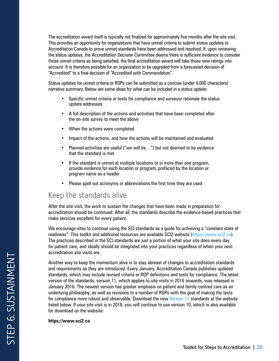The accreditation award itself is typically not finalized for approximately five months after the site visit. This provides an opportunity for organizations that have unmet criteria to submit status updates to Accreditation Canada to prove unmet standards have been addressed and resolved. If, upon reviewing the status updates, the Accreditation Decision Committee deems there is sufficient evidence to consider those unmet criteria as being satisfied, the final accreditation award will take those new ratings into account. It is therefore possible for an organization to be upgraded from a forecasted decision of "Accredited" to a final decision of "Accredited with Commendation".

Status updates for unmet criteria or ROPs can be submitted as a concise (under 4,000 characters) narrative summary. Below are some ideas for what can be included in a status update:

- Specific unmet criteria or tests for compliance and surveyor rationale the status update addresses
- A full description of the actions and activities that have been completed after the on-site survey to meet the above
- When the actions were completed
- Impact of the actions, and how the actions will be maintained and evaluated
- Planned activities are useful ("we will be…") but not deemed to be evidence that the standard is met
- If the standard is unmet at multiple locations or in more than one program, provide evidence for each location or program, prefaced by the location or program name as a header
- Please spell out acronyms or abbreviations the first time they are used

## Keep the standards alive

After the site visit, the work to sustain the changes that have been made in preparation for accreditation should be continued. After all, the standards describe the evidence-based practices that make services excellent for every patient.

We encourage sites to continue using the SCI standards as a guide for achieving a "constant state of readiness". This toolkit and additional resources are available SCI2 website (https://www.sci2.ca). The practices described in the SCI standards are just a portion of what your site does every day for patient care, and ideally should be integrated into your practices regardless of when your next accreditation site visits are.

Another way to keep the momentum alive is to stay abreast of changes to accreditation standards and requirements as they are introduced. Every January, Accreditation Canada publishes updated standards, which may include revised criteria or ROP definitions and tests for compliance. The latest version of the standards, version 11, which applies to site visits in 2016 onwards, was released in January 2016. The newest version has greater emphasis on patient and family centred care as an underlying philosophy, as well as revisions to a number of ROPs with the goal of making the tests for compliance more robust and observable. Download the new Version 11 standards at the website listed below. If your site visit is in 2016, you will continue to use version 10, which is also available for download on the website:

#### **https://www.sci2.ca**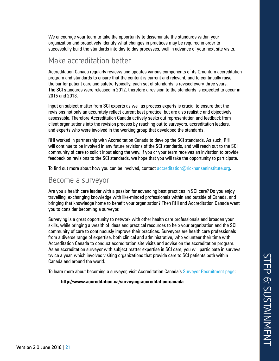We encourage your team to take the opportunity to disseminate the standards within your organization and proactively identify what changes in practices may be required in order to successfully build the standards into day to day processes, well in advance of your next site visits.

#### Make accreditation better

Accreditation Canada regularly reviews and updates various components of its Qmentum accreditation program and standards to ensure that the content is current and relevant, and to continually raise the bar for patient care and safety. Typically, each set of standards is revised every three years. The SCI standards were released in 2012, therefore a revision to the standards is expected to occur in 2015 and 2018.

Input on subject matter from SCI experts as well as process experts is crucial to ensure that the revisions not only an accurately reflect current best practice, but are also realistic and objectively assessable. Therefore Accreditation Canada actively seeks out representation and feedback from client organizations into the revision process by reaching out to surveyors, accreditation leaders, and experts who were involved in the working group that developed the standards.

RHI worked in partnership with Accreditation Canada to develop the SCI standards. As such, RHI will continue to be involved in any future revisions of the SCI standards, and will reach out to the SCI community of care to solicit input along the way. If you or your team receives an invitation to provide feedback on revisions to the SCI standards, we hope that you will take the opportunity to participate.

To find out more about how you can be involved, contact accreditation $@$ rickhanseninstitute.org.

#### Become a surveyor

Are you a health care leader with a passion for advancing best practices in SCI care? Do you enjoy travelling, exchanging knowledge with like-minded professionals within and outside of Canada, and bringing that knowledge home to benefit your organization? Then RHI and Accreditation Canada want you to consider becoming a surveyor.

Surveying is a great opportunity to network with other health care professionals and broaden your skills, while bringing a wealth of ideas and practical resources to help your organization and the SCI community of care to continuously improve their practices. Surveyors are health care professionals from a diverse range of expertise, both clinical and administrative, who volunteer their time with Accreditation Canada to conduct accreditation site visits and advise on the accreditation program. As an accreditation surveyor with subject matter expertise in SCI care, you will participate in surveys twice a year, which involves visiting organizations that provide care to SCI patients both within Canada and around the world.

To learn more about becoming a surveyor, visit Accreditation Canada's Surveyor Recruitment page:

**<http://www.accreditation.ca/surveying-accreditation-canada>**